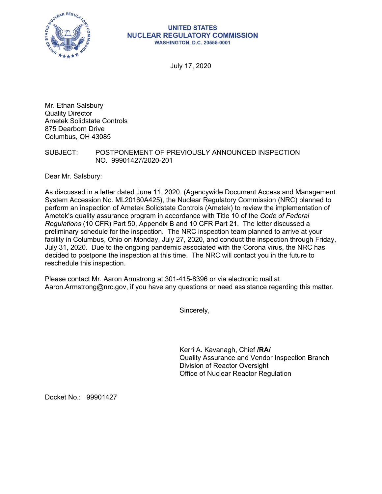

## **UNITED STATES NUCLEAR REGULATORY COMMISSION WASHINGTON, D.C. 20555-0001**

July 17, 2020

Mr. Ethan Salsbury Quality Director Ametek Solidstate Controls 875 Dearborn Drive Columbus, OH 43085

SUBJECT: POSTPONEMENT OF PREVIOUSLY ANNOUNCED INSPECTION NO. 99901427/2020-201

Dear Mr. Salsbury:

As discussed in a letter dated June 11, 2020, (Agencywide Document Access and Management System Accession No. ML20160A425), the Nuclear Regulatory Commission (NRC) planned to perform an inspection of Ametek Solidstate Controls (Ametek) to review the implementation of Ametek's quality assurance program in accordance with Title 10 of the *Code of Federal Regulations* (10 CFR) Part 50, Appendix B and 10 CFR Part 21. The letter discussed a preliminary schedule for the inspection. The NRC inspection team planned to arrive at your facility in Columbus, Ohio on Monday, July 27, 2020, and conduct the inspection through Friday, July 31, 2020. Due to the ongoing pandemic associated with the Corona virus, the NRC has decided to postpone the inspection at this time. The NRC will contact you in the future to reschedule this inspection.

Please contact Mr. Aaron Armstrong at 301-415-8396 or via electronic mail at Aaron.Armstrong@nrc.gov, if you have any questions or need assistance regarding this matter.

Sincerely,

Kerri A. Kavanagh, Chief **/RA/**  Quality Assurance and Vendor Inspection Branch Division of Reactor Oversight Office of Nuclear Reactor Regulation

Docket No.: 99901427